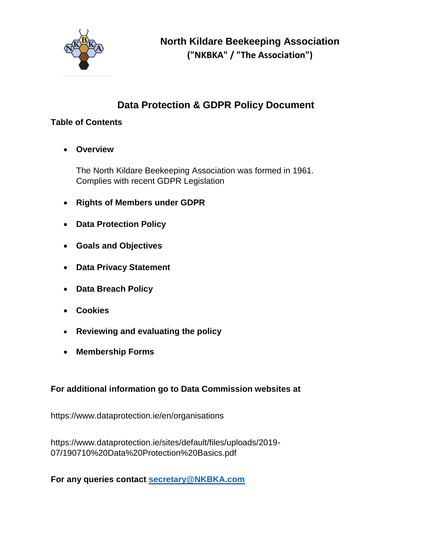

# **Data Protection & GDPR Policy Document**

## **Table of Contents**

**Overview**

The North Kildare Beekeeping Association was formed in 1961. Complies with recent GDPR Legislation

- **Rights of Members under GDPR**
- **Data Protection Policy**
- **Goals and Objectives**
- **Data Privacy Statement**
- **Data Breach Policy**
- **Cookies**
- **Reviewing and evaluating the policy**
- **Membership Forms**

## **For additional information go to Data Commission websites at**

https://www.dataprotection.ie/en/organisations

https://www.dataprotection.ie/sites/default/files/uploads/2019- 07/190710%20Data%20Protection%20Basics.pdf

**For any queries contact [secretary@NKBKA.com](mailto:secretary@NKBKA.com)**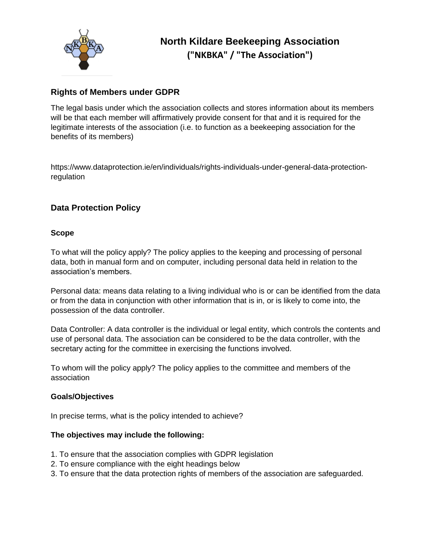

### **Rights of Members under GDPR**

The legal basis under which the association collects and stores information about its members will be that each member will affirmatively provide consent for that and it is required for the legitimate interests of the association (i.e. to function as a beekeeping association for the benefits of its members)

https://www.dataprotection.ie/en/individuals/rights-individuals-under-general-data-protectionregulation

### **Data Protection Policy**

#### **Scope**

To what will the policy apply? The policy applies to the keeping and processing of personal data, both in manual form and on computer, including personal data held in relation to the association's members.

Personal data: means data relating to a living individual who is or can be identified from the data or from the data in conjunction with other information that is in, or is likely to come into, the possession of the data controller.

Data Controller: A data controller is the individual or legal entity, which controls the contents and use of personal data. The association can be considered to be the data controller, with the secretary acting for the committee in exercising the functions involved.

To whom will the policy apply? The policy applies to the committee and members of the association

#### **Goals/Objectives**

In precise terms, what is the policy intended to achieve?

#### **The objectives may include the following:**

- 1. To ensure that the association complies with GDPR legislation
- 2. To ensure compliance with the eight headings below
- 3. To ensure that the data protection rights of members of the association are safeguarded.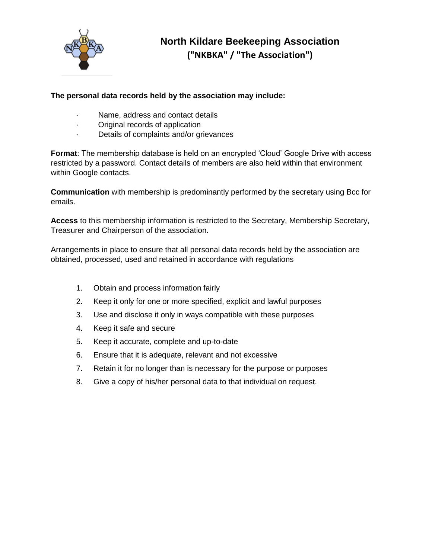

#### **The personal data records held by the association may include:**

- Name, address and contact details
- Original records of application
- Details of complaints and/or grievances

**Format**: The membership database is held on an encrypted 'Cloud' Google Drive with access restricted by a password. Contact details of members are also held within that environment within Google contacts.

**Communication** with membership is predominantly performed by the secretary using Bcc for emails.

**Access** to this membership information is restricted to the Secretary, Membership Secretary, Treasurer and Chairperson of the association.

Arrangements in place to ensure that all personal data records held by the association are obtained, processed, used and retained in accordance with regulations

- 1. Obtain and process information fairly
- 2. Keep it only for one or more specified, explicit and lawful purposes
- 3. Use and disclose it only in ways compatible with these purposes
- 4. Keep it safe and secure
- 5. Keep it accurate, complete and up-to-date
- 6. Ensure that it is adequate, relevant and not excessive
- 7. Retain it for no longer than is necessary for the purpose or purposes
- 8. Give a copy of his/her personal data to that individual on request.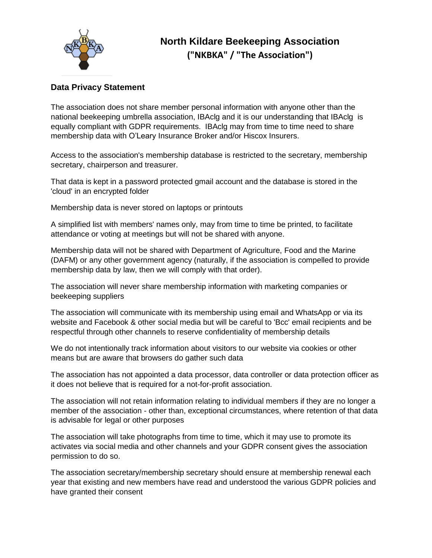

### **Data Privacy Statement**

The association does not share member personal information with anyone other than the national beekeeping umbrella association, IBAclg and it is our understanding that IBAclg is equally compliant with GDPR requirements. IBAclg may from time to time need to share membership data with O'Leary Insurance Broker and/or Hiscox Insurers.

Access to the association's membership database is restricted to the secretary, membership secretary, chairperson and treasurer.

That data is kept in a password protected gmail account and the database is stored in the 'cloud' in an encrypted folder

Membership data is never stored on laptops or printouts

A simplified list with members' names only, may from time to time be printed, to facilitate attendance or voting at meetings but will not be shared with anyone.

Membership data will not be shared with Department of Agriculture, Food and the Marine (DAFM) or any other government agency (naturally, if the association is compelled to provide membership data by law, then we will comply with that order).

The association will never share membership information with marketing companies or beekeeping suppliers

The association will communicate with its membership using email and WhatsApp or via its website and Facebook & other social media but will be careful to 'Bcc' email recipients and be respectful through other channels to reserve confidentiality of membership details

We do not intentionally track information about visitors to our website via cookies or other means but are aware that browsers do gather such data

The association has not appointed a data processor, data controller or data protection officer as it does not believe that is required for a not-for-profit association.

The association will not retain information relating to individual members if they are no longer a member of the association - other than, exceptional circumstances, where retention of that data is advisable for legal or other purposes

The association will take photographs from time to time, which it may use to promote its activates via social media and other channels and your GDPR consent gives the association permission to do so.

The association secretary/membership secretary should ensure at membership renewal each year that existing and new members have read and understood the various GDPR policies and have granted their consent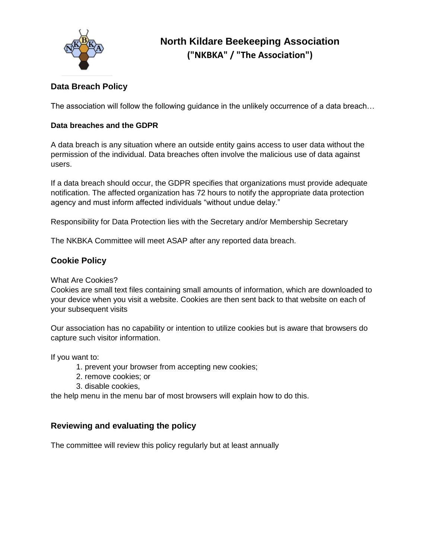

## **Data Breach Policy**

The association will follow the following guidance in the unlikely occurrence of a data breach…

#### **Data breaches and the GDPR**

A data breach is any situation where an outside entity gains access to user data without the permission of the individual. Data breaches often involve the malicious use of data against users.

If a data breach should occur, the GDPR specifies that organizations must provide adequate notification. The affected organization has 72 hours to notify the appropriate data protection agency and must inform affected individuals "without undue delay."

Responsibility for Data Protection lies with the Secretary and/or Membership Secretary

The NKBKA Committee will meet ASAP after any reported data breach.

#### **Cookie Policy**

What Are Cookies?

Cookies are small text files containing small amounts of information, which are downloaded to your device when you visit a website. Cookies are then sent back to that website on each of your subsequent visits

Our association has no capability or intention to utilize cookies but is aware that browsers do capture such visitor information.

If you want to:

- 1. prevent your browser from accepting new cookies;
- 2. remove cookies; or
- 3. disable cookies,

the help menu in the menu bar of most browsers will explain how to do this.

#### **Reviewing and evaluating the policy**

The committee will review this policy regularly but at least annually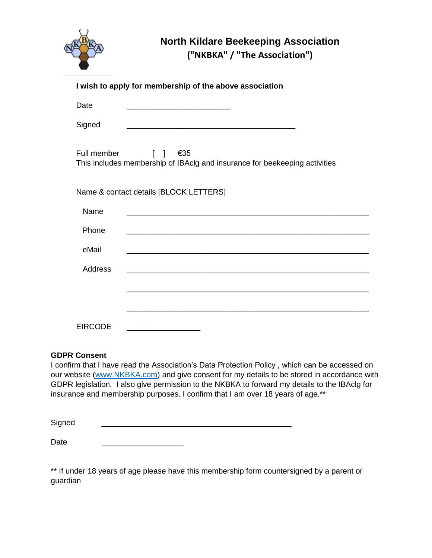

## **North Kildare Beekeeping Association**

**("NKBKA" / "The Association")**

| I wish to apply for membership of the above association                                                                                   |  |  |  |
|-------------------------------------------------------------------------------------------------------------------------------------------|--|--|--|
| Date                                                                                                                                      |  |  |  |
| Signed<br><u> 1980 - Johann Barn, mars an t-Amerikaansk politiker (* 1908)</u>                                                            |  |  |  |
| Full member<br>$\begin{bmatrix} 1 & 1 \end{bmatrix}$<br>€35<br>This includes membership of IBAclg and insurance for beekeeping activities |  |  |  |
| Name & contact details [BLOCK LETTERS]                                                                                                    |  |  |  |
| Name                                                                                                                                      |  |  |  |
| Phone                                                                                                                                     |  |  |  |
| eMail                                                                                                                                     |  |  |  |
| <b>Address</b>                                                                                                                            |  |  |  |
|                                                                                                                                           |  |  |  |
|                                                                                                                                           |  |  |  |
| <b>EIRCODE</b>                                                                                                                            |  |  |  |

#### **GDPR Consent**

I confirm that I have read the Association's Data Protection Policy , which can be accessed on our website [\(www.NKBKA.com\)](http://www.nkbka.com/) and give consent for my details to be stored in accordance with GDPR legislation. I also give permission to the NKBKA to forward my details to the IBAclg for insurance and membership purposes. I confirm that I am over 18 years of age.\*\*

Signed \_\_\_\_\_\_\_\_\_\_\_\_\_\_\_\_\_\_\_\_\_\_\_\_\_\_\_\_\_\_\_\_\_\_\_\_\_\_\_\_\_\_\_\_

Date

\*\* If under 18 years of age please have this membership form countersigned by a parent or guardian